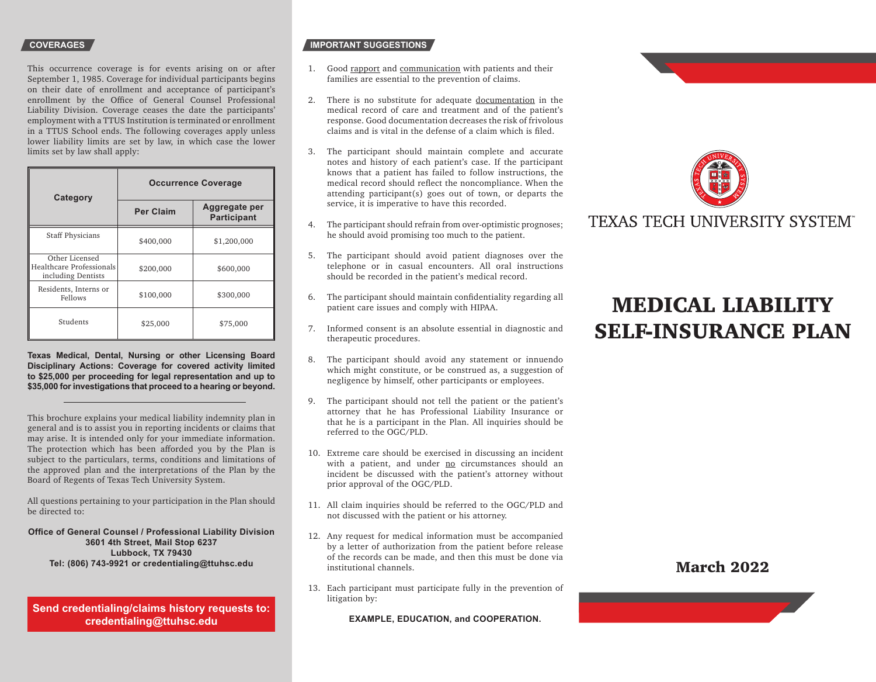This occurrence coverage is for events arising on or after September 1, 1985. Coverage for individual participants begins on their date of enrollment and acceptance of participant's enrollment by the Office of General Counsel Professional Liability Division. Coverage ceases the date the participants' employment with a TTUS Institution is terminated or enrollment in a TTUS School ends. The following coverages apply unless lower liability limits are set by law, in which case the lower limits set by law shall apply:

| Category                                                         | <b>Occurrence Coverage</b> |                                     |
|------------------------------------------------------------------|----------------------------|-------------------------------------|
|                                                                  | <b>Per Claim</b>           | Aggregate per<br><b>Participant</b> |
| <b>Staff Physicians</b>                                          | \$400,000                  | \$1,200,000                         |
| Other Licensed<br>Healthcare Professionals<br>including Dentists | \$200,000                  | \$600,000                           |
| Residents, Interns or<br>Fellows                                 | \$100,000                  | \$300,000                           |
| Students                                                         | \$25,000                   | \$75,000                            |

**Texas Medical, Dental, Nursing or other Licensing Board Disciplinary Actions: Coverage for covered activity limited to \$25,000 per proceeding for legal representation and up to \$35,000 for investigations that proceed to a hearing or beyond.** 

This brochure explains your medical liability indemnity plan in general and is to assist you in reporting incidents or claims that may arise. It is intended only for your immediate information. The protection which has been afforded you by the Plan is subject to the particulars, terms, conditions and limitations of the approved plan and the interpretations of the Plan by the Board of Regents of Texas Tech University System.

All questions pertaining to your participation in the Plan should be directed to:

### **Office of General Counsel / Professional Liability Division 3601 4th Street, Mail Stop 6237 Lubbock, TX 79430 Tel: (806) 743-9921 or credentialing@ttuhsc.edu**

**Send credentialing/claims history requests to: credentialing@ttuhsc.edu**

# **COVERAGES** *IMPORTANT SUGGESTIONS*

- 1. Good rapport and communication with patients and their families are essential to the prevention of claims.
- 2. There is no substitute for adequate documentation in the medical record of care and treatment and of the patient's response. Good documentation decreases the risk of frivolous claims and is vital in the defense of a claim which is filed.
- The participant should maintain complete and accurate 3. notes and history of each patient's case. If the participant knows that a patient has failed to follow instructions, the medical record should reflect the noncompliance. When the attending participant(s) goes out of town, or departs the service, it is imperative to have this recorded.
- The participant should refrain from over-optimistic prognoses; 4. he should avoid promising too much to the patient.
- The participant should avoid patient diagnoses over the 5. telephone or in casual encounters. All oral instructions should be recorded in the patient's medical record.
- The participant should maintain confidentiality regarding all 6. patient care issues and comply with HIPAA.
- Informed consent is an absolute essential in diagnostic and 7. therapeutic procedures.
- The participant should avoid any statement or innuendo 8. which might constitute, or be construed as, a suggestion of negligence by himself, other participants or employees.
- The participant should not tell the patient or the patient's 9. attorney that he has Professional Liability Insurance or that he is a participant in the Plan. All inquiries should be referred to the OGC/PLD.
- 10. Extreme care should be exercised in discussing an incident with a patient, and under no circumstances should an incident be discussed with the patient's attorney without prior approval of the OGC/PLD.
- All claim inquiries should be referred to the OGC/PLD and 11. not discussed with the patient or his attorney.
- 12. Any request for medical information must be accompanied by a letter of authorization from the patient before release  $\sigma$  of the records can be made, and then this must be done via institutional channels.
- 13. Each participant must participate fully in the prevention of litigation by:

**EXAMPLE, EDUCATION, and COOPERATION.**



# TEXAS TECH UNIVERSITY SYSTEM®

# MEDICAL LIABILITY SELF-INSURANCE PLAN

# March 2022